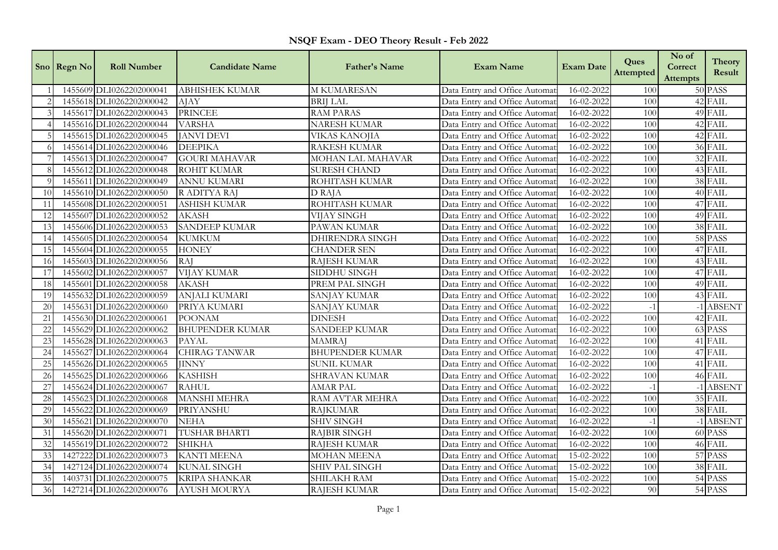| NSQF Exam - DEO Theory Result - Feb 2022 |  |  |  |
|------------------------------------------|--|--|--|
|------------------------------------------|--|--|--|

|                | Sno Regn No | <b>Roll Number</b>       | <b>Candidate Name</b>  | <b>Father's Name</b>   | <b>Exam Name</b>              | <b>Exam Date</b> | Ques<br>Attempted | No of<br>Correct<br>Attempts | <b>Theory</b><br>Result |
|----------------|-------------|--------------------------|------------------------|------------------------|-------------------------------|------------------|-------------------|------------------------------|-------------------------|
|                |             | 1455609 DLI0262202000041 | <b>ABHISHEK KUMAR</b>  | <b>M KUMARESAN</b>     | Data Entry and Office Automat | $16 - 02 - 2022$ | 100               |                              | 50 PASS                 |
|                |             | 1455618 DLI0262202000042 | <b>AJAY</b>            | <b>BRIJ LAL</b>        | Data Entry and Office Automat | 16-02-2022       | 100               |                              | 42 FAIL                 |
|                |             | 1455617 DLI0262202000043 | <b>PRINCEE</b>         | <b>RAM PARAS</b>       | Data Entry and Office Automat | 16-02-2022       | 100               |                              | 49 FAIL                 |
|                |             | 1455616 DLI0262202000044 | <b>VARSHA</b>          | NARESH KUMAR           | Data Entry and Office Automat | 16-02-2022       | 100               |                              | 42 FAIL                 |
|                |             | 1455615 DLI0262202000045 | <b>JANVI DEVI</b>      | VIKAS KANOJIA          | Data Entry and Office Automat | 16-02-2022       | 100               |                              | 42 FAIL                 |
|                |             | 1455614 DLI0262202000046 | <b>DEEPIKA</b>         | <b>RAKESH KUMAR</b>    | Data Entry and Office Automat | 16-02-2022       | 100               |                              | 36 FAIL                 |
|                |             | 1455613 DLI0262202000047 | <b>GOURI MAHAVAR</b>   | MOHAN LAL MAHAVAR      | Data Entry and Office Automat | 16-02-2022       | 100               |                              | 32 FAIL                 |
| $\epsilon$     |             | 1455612 DLI0262202000048 | <b>ROHIT KUMAR</b>     | <b>SURESH CHAND</b>    | Data Entry and Office Automat | 16-02-2022       | 100               |                              | 43 FAIL                 |
| - 9            |             | 1455611 DLI0262202000049 | <b>ANNU KUMARI</b>     | ROHITASH KUMAR         | Data Entry and Office Automat | 16-02-2022       | 100               |                              | 38 FAIL                 |
| 10             |             | 1455610 DLI0262202000050 | R ADITYA RAJ           | D RAJA                 | Data Entry and Office Automat | 16-02-2022       | 100               |                              | 40 FAIL                 |
| 11             |             | 1455608 DLI0262202000051 | <b>ASHISH KUMAR</b>    | ROHITASH KUMAR         | Data Entry and Office Automat | 16-02-2022       | 100               |                              | 47 FAIL                 |
| 12             |             | 1455607 DLI0262202000052 | <b>AKASH</b>           | VIJAY SINGH            | Data Entry and Office Automat | 16-02-2022       | 100               |                              | 49 FAIL                 |
| 13             |             | 1455606 DLI0262202000053 | <b>SANDEEP KUMAR</b>   | PAWAN KUMAR            | Data Entry and Office Automat | 16-02-2022       | 100               |                              | 38 FAIL                 |
| 14             |             | 1455605 DLI0262202000054 | <b>KUMKUM</b>          | <b>DHIRENDRA SINGH</b> | Data Entry and Office Automat | 16-02-2022       | 100               |                              | 58 PASS                 |
| 15             |             | 1455604 DLI0262202000055 | <b>HONEY</b>           | <b>CHANDER SEN</b>     | Data Entry and Office Automat | 16-02-2022       | 100               |                              | 47 FAIL                 |
| 16             |             | 1455603 DLI0262202000056 | <b>RAJ</b>             | RAJESH KUMAR           | Data Entry and Office Automat | 16-02-2022       | 100               |                              | 43 FAIL                 |
| 17             |             | 1455602 DLI0262202000057 | <b>VIJAY KUMAR</b>     | SIDDHU SINGH           | Data Entry and Office Automat | 16-02-2022       | 100               |                              | 47 FAIL                 |
| 18             |             | 1455601 DLI0262202000058 | <b>AKASH</b>           | PREM PAL SINGH         | Data Entry and Office Automat | 16-02-2022       | 100               |                              | 49 FAIL                 |
| 19             |             | 1455632 DLI0262202000059 | <b>ANJALI KUMARI</b>   | SANJAY KUMAR           | Data Entry and Office Automat | 16-02-2022       | 100               |                              | 43 FAIL                 |
| 20             |             | 1455631 DLI0262202000060 | PRIYA KUMARI           | <b>SANJAY KUMAR</b>    | Data Entry and Office Automat | 16-02-2022       | $-1$              |                              | -1 ABSENT               |
| 21             |             | 1455630 DLI0262202000061 | <b>POONAM</b>          | <b>DINESH</b>          | Data Entry and Office Automat | 16-02-2022       | 100               |                              | 42 FAIL                 |
| 22             |             | 1455629 DLI0262202000062 | <b>BHUPENDER KUMAR</b> | <b>SANDEEP KUMAR</b>   | Data Entry and Office Automat | 16-02-2022       | 100               |                              | 63 PASS                 |
| 23             |             | 1455628 DLI0262202000063 | <b>PAYAL</b>           | <b>MAMRAJ</b>          | Data Entry and Office Automat | 16-02-2022       | 100               |                              | 41 FAIL                 |
| 24             |             | 1455627 DLI0262202000064 | <b>CHIRAG TANWAR</b>   | <b>BHUPENDER KUMAR</b> | Data Entry and Office Automat | 16-02-2022       | 100               |                              | 47 FAIL                 |
| 25             |             | 1455626 DLI0262202000065 | <b>JINNY</b>           | <b>SUNIL KUMAR</b>     | Data Entry and Office Automat | 16-02-2022       | 100               |                              | 41 FAIL                 |
| 26             |             | 1455625 DLI0262202000066 | <b>KASHISH</b>         | <b>SHRAVAN KUMAR</b>   | Data Entry and Office Automat | 16-02-2022       | 100               |                              | 46 FAIL                 |
| 27             |             | 1455624 DLI0262202000067 | <b>RAHUL</b>           | <b>AMAR PAL</b>        | Data Entry and Office Automat | 16-02-2022       | $-1$              |                              | -1 ABSENT               |
| 28             |             | 1455623 DLI0262202000068 | <b>MANSHI MEHRA</b>    | RAM AVTAR MEHRA        | Data Entry and Office Automat | 16-02-2022       | 100               |                              | 35 FAIL                 |
| 2 <sup>c</sup> |             | 1455622 DLI0262202000069 | PRIYANSHU              | <b>RAJKUMAR</b>        | Data Entry and Office Automat | 16-02-2022       | 100               |                              | 38 FAIL                 |
| 30             |             | 1455621 DLI0262202000070 | <b>NEHA</b>            | <b>SHIV SINGH</b>      | Data Entry and Office Automat | 16-02-2022       | $-1$              |                              | -1 ABSENT               |
| 31             |             | 1455620 DLI0262202000071 | TUSHAR BHARTI          | <b>RAJBIR SINGH</b>    | Data Entry and Office Automat | 16-02-2022       | 100               |                              | 60 PASS                 |
| 32             |             | 1455619 DLI0262202000072 | <b>SHIKHA</b>          | RAJESH KUMAR           | Data Entry and Office Automat | 16-02-2022       | 100               |                              | 46 FAIL                 |
| 33             |             | 1427222 DLI0262202000073 | <b>KANTI MEENA</b>     | <b>MOHAN MEENA</b>     | Data Entry and Office Automat | 15-02-2022       | 100               |                              | 57 PASS                 |
| 34             |             | 1427124 DLI0262202000074 | <b>KUNAL SINGH</b>     | <b>SHIV PAL SINGH</b>  | Data Entry and Office Automat | 15-02-2022       | 100               |                              | 38 FAIL                 |
| 35             |             | 1403731 DLI0262202000075 | <b>KRIPA SHANKAR</b>   | <b>SHILAKH RAM</b>     | Data Entry and Office Automat | 15-02-2022       | 100               |                              | 54 PASS                 |
| 36             |             | 1427214 DLI0262202000076 | AYUSH MOURYA           | RAJESH KUMAR           | Data Entry and Office Automat | 15-02-2022       | 90                |                              | 54 PASS                 |